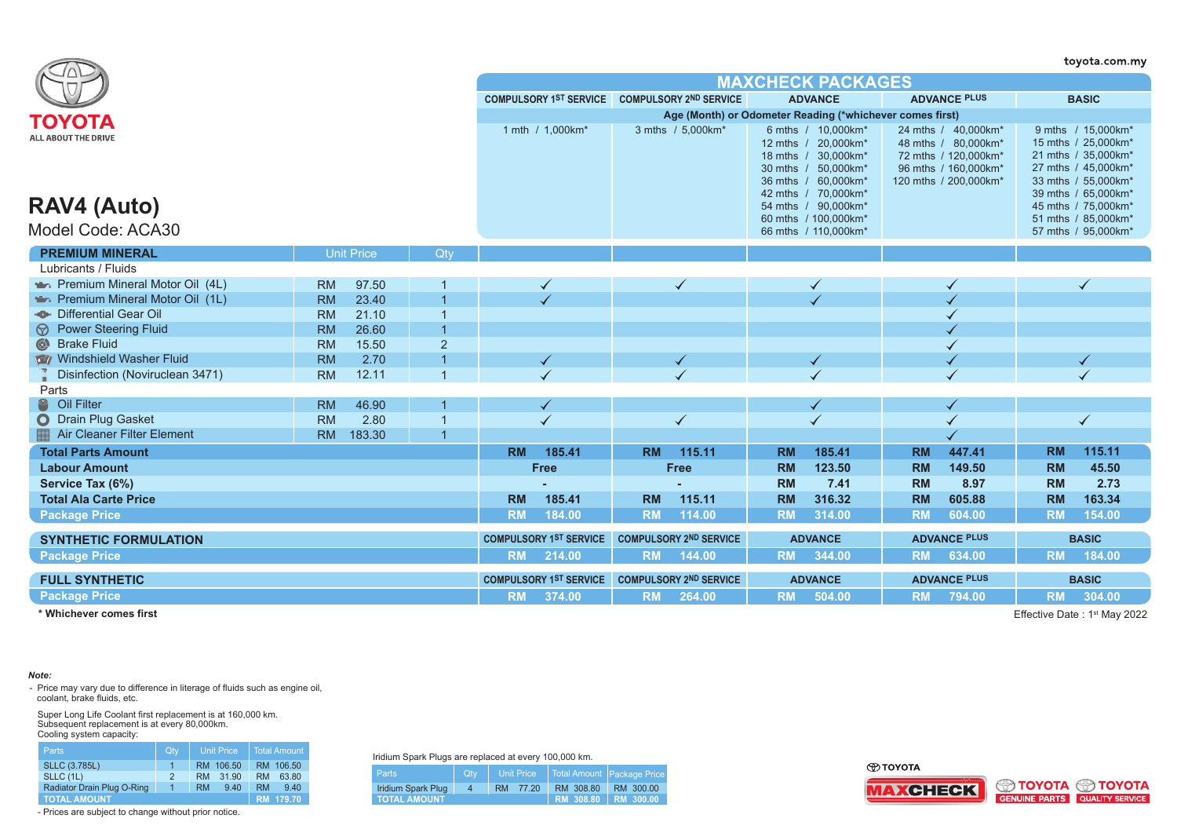|                                               |           |                   |                |           |                               |           |                                                          |           |                                                                                                                                                                                      |           |                                                                                                                     |           | toyota.com.my                                                                                                                                                                       |
|-----------------------------------------------|-----------|-------------------|----------------|-----------|-------------------------------|-----------|----------------------------------------------------------|-----------|--------------------------------------------------------------------------------------------------------------------------------------------------------------------------------------|-----------|---------------------------------------------------------------------------------------------------------------------|-----------|-------------------------------------------------------------------------------------------------------------------------------------------------------------------------------------|
|                                               |           |                   |                |           |                               |           |                                                          |           | <b>MAXCHECK PACKAGES</b>                                                                                                                                                             |           |                                                                                                                     |           |                                                                                                                                                                                     |
|                                               |           |                   |                |           |                               |           | COMPULSORY 1ST SERVICE COMPULSORY 2ND SERVICE            |           | <b>ADVANCE</b>                                                                                                                                                                       |           | <b>ADVANCE PLUS</b>                                                                                                 |           | <b>BASIC</b>                                                                                                                                                                        |
| ΤΟΥΟΤΑ                                        |           |                   |                |           |                               |           | Age (Month) or Odometer Reading (*whichever comes first) |           |                                                                                                                                                                                      |           |                                                                                                                     |           |                                                                                                                                                                                     |
| ALL ABOUT THE DRIVE<br>RAV4 (Auto)            |           |                   |                |           | 1 mth / 1,000km*              |           | 3 mths / 5,000km*                                        |           | 6 mths / 10,000km*<br>12 mths / 20,000km*<br>18 mths / 30,000km*<br>30 mths / 50,000km*<br>36 mths / 60,000km*<br>42 mths / 70.000km*<br>54 mths / 90.000km*<br>60 mths / 100,000km* |           | 24 mths / 40,000km*<br>48 mths / 80.000km*<br>72 mths / 120,000km*<br>96 mths / 160,000km*<br>120 mths / 200,000km* |           | 9 mths / 15,000km*<br>15 mths / 25,000km*<br>21 mths / 35,000km*<br>27 mths / 45,000km*<br>33 mths / 55,000km*<br>39 mths / 65,000km*<br>45 mths / 75,000km*<br>51 mths / 85,000km* |
| Model Code: ACA30                             |           |                   |                |           |                               |           |                                                          |           | 66 mths / 110,000km*                                                                                                                                                                 |           |                                                                                                                     |           | 57 mths / 95,000km*                                                                                                                                                                 |
| <b>PREMIUM MINERAL</b>                        |           | <b>Unit Price</b> | Qtv            |           |                               |           |                                                          |           |                                                                                                                                                                                      |           |                                                                                                                     |           |                                                                                                                                                                                     |
| Lubricants / Fluids                           |           |                   |                |           |                               |           |                                                          |           |                                                                                                                                                                                      |           |                                                                                                                     |           |                                                                                                                                                                                     |
| Premium Mineral Motor Oil (4L)                | <b>RM</b> | 97.50             |                |           |                               |           |                                                          |           | ✓                                                                                                                                                                                    |           |                                                                                                                     |           |                                                                                                                                                                                     |
| Premium Mineral Motor Oil (1L)                | <b>RM</b> | 23.40             |                |           |                               |           |                                                          |           |                                                                                                                                                                                      |           |                                                                                                                     |           |                                                                                                                                                                                     |
| Differential Gear Oil                         | <b>RM</b> | 21.10             |                |           |                               |           |                                                          |           |                                                                                                                                                                                      |           |                                                                                                                     |           |                                                                                                                                                                                     |
| <b>Power Steering Fluid</b><br>$\circledcirc$ | <b>RM</b> | 26.60             | $\overline{1}$ |           |                               |           |                                                          |           |                                                                                                                                                                                      |           |                                                                                                                     |           |                                                                                                                                                                                     |
| $\circledcirc$<br><b>Brake Fluid</b>          | <b>RM</b> | 15.50             | $\overline{2}$ |           |                               |           |                                                          |           |                                                                                                                                                                                      |           |                                                                                                                     |           |                                                                                                                                                                                     |
| Windshield Washer Fluid                       | <b>RM</b> | 2.70              |                |           |                               |           |                                                          |           |                                                                                                                                                                                      |           |                                                                                                                     |           |                                                                                                                                                                                     |
| Disinfection (Noviruclean 3471)               | <b>RM</b> | 12.11             |                |           |                               |           |                                                          |           |                                                                                                                                                                                      |           |                                                                                                                     |           |                                                                                                                                                                                     |
| Parts                                         |           |                   |                |           |                               |           |                                                          |           |                                                                                                                                                                                      |           |                                                                                                                     |           |                                                                                                                                                                                     |
| Oil Filter                                    | <b>RM</b> | 46.90             |                |           |                               |           |                                                          |           |                                                                                                                                                                                      |           |                                                                                                                     |           |                                                                                                                                                                                     |
| O Drain Plug Gasket                           | <b>RM</b> | 2.80              | $\overline{1}$ |           |                               |           | $\checkmark$                                             |           |                                                                                                                                                                                      |           |                                                                                                                     |           | $\checkmark$                                                                                                                                                                        |
| <b>Air Cleaner Filter Element</b>             | <b>RM</b> | 183.30            | $\overline{1}$ |           |                               |           |                                                          |           |                                                                                                                                                                                      |           |                                                                                                                     |           |                                                                                                                                                                                     |
| <b>Total Parts Amount</b>                     |           |                   |                | <b>RM</b> | 185.41                        | <b>RM</b> | 115.11                                                   | <b>RM</b> | 185.41                                                                                                                                                                               | <b>RM</b> | 447.41                                                                                                              | <b>RM</b> | 115.11                                                                                                                                                                              |
| <b>Labour Amount</b>                          |           |                   |                |           | <b>Free</b>                   |           | <b>Free</b>                                              | <b>RM</b> | 123.50                                                                                                                                                                               | <b>RM</b> | 149.50                                                                                                              | <b>RM</b> | 45.50                                                                                                                                                                               |
| Service Tax (6%)                              |           |                   |                |           |                               |           |                                                          | <b>RM</b> | 7.41                                                                                                                                                                                 | <b>RM</b> | 8.97                                                                                                                | <b>RM</b> | 2.73                                                                                                                                                                                |
| <b>Total Ala Carte Price</b>                  |           |                   |                | <b>RM</b> | 185.41                        | <b>RM</b> | 115.11                                                   | <b>RM</b> | 316.32                                                                                                                                                                               | <b>RM</b> | 605.88                                                                                                              | <b>RM</b> | 163.34                                                                                                                                                                              |
| <b>Package Price</b>                          |           |                   |                | <b>RM</b> | 184.00                        | <b>RM</b> | 114.00                                                   | <b>RM</b> | 314.00                                                                                                                                                                               | <b>RM</b> | 604.00                                                                                                              | <b>RM</b> | 154.00                                                                                                                                                                              |
| <b>SYNTHETIC FORMULATION</b>                  |           |                   |                |           | <b>COMPULSORY 1ST SERVICE</b> |           | <b>COMPULSORY 2ND SERVICE</b>                            |           | <b>ADVANCE</b>                                                                                                                                                                       |           | <b>ADVANCE PLUS</b>                                                                                                 |           | <b>BASIC</b>                                                                                                                                                                        |
| <b>Package Price</b>                          |           |                   |                | <b>RM</b> | 214.00                        | <b>RM</b> | 144.00                                                   | <b>RM</b> | 344.00                                                                                                                                                                               | <b>RM</b> | 634.00                                                                                                              | <b>RM</b> | 184.00                                                                                                                                                                              |
| <b>FULL SYNTHETIC</b>                         |           |                   |                |           | <b>COMPULSORY 1ST SERVICE</b> |           | <b>COMPULSORY 2ND SERVICE</b>                            |           | <b>ADVANCE</b>                                                                                                                                                                       |           | <b>ADVANCE PLUS</b>                                                                                                 |           | <b>BASIC</b>                                                                                                                                                                        |
| <b>Package Price</b>                          |           |                   |                | <b>RM</b> | 374.00                        | <b>RM</b> | 264.00                                                   | <b>RM</b> | 504.00                                                                                                                                                                               | <b>RM</b> | 794.00                                                                                                              | <b>RM</b> | 304.00                                                                                                                                                                              |
|                                               |           |                   |                |           |                               |           |                                                          |           |                                                                                                                                                                                      |           |                                                                                                                     |           |                                                                                                                                                                                     |

**\* Whichever comes first**

Effective Date: 1<sup>st</sup> May 2022

## *Note:*

- Price may vary due to difference in literage of fluids such as engine oil, coolant, brake fluids, etc.

Super Long Life Coolant first replacement is at 160,000 km. Subsequent replacement is at every 80,000km. Cooling system capacity:

| <b>Parts</b>               | Qtv.          | <b>Unit Price</b>  | <b>Total Amount</b> |  |  |
|----------------------------|---------------|--------------------|---------------------|--|--|
| <b>SLLC (3.785L)</b>       | 1             | 106.50<br>RM.      | RM 106.50           |  |  |
| SLLC (1L)                  | $\mathcal{P}$ | 31.90<br><b>RM</b> | 63.80<br><b>RM</b>  |  |  |
| Radiator Drain Plug O-Ring | $\mathbf{1}$  | 9.40<br><b>RM</b>  | <b>RM</b><br>9.40   |  |  |
| <b>TOTAL AMOUNT</b>        |               |                    | RM 179.70           |  |  |

- Prices are subject to change without prior notice.

Iridium Spark Plugs are replaced at every 100,000 km.

| <b>Parts</b>              | Qtv | Unit Price |                              | Total Amount Package Price |  |  |  |  |  |  |
|---------------------------|-----|------------|------------------------------|----------------------------|--|--|--|--|--|--|
| <b>Iridium Spark Plug</b> | 4   | RM 77.20   | RM 308.80                    | RM 300.00                  |  |  |  |  |  |  |
| <b>TOTAL AMOUNT</b>       |     |            | <b>RM 308.80   RM 300.00</b> |                            |  |  |  |  |  |  |

⊕тоүотд



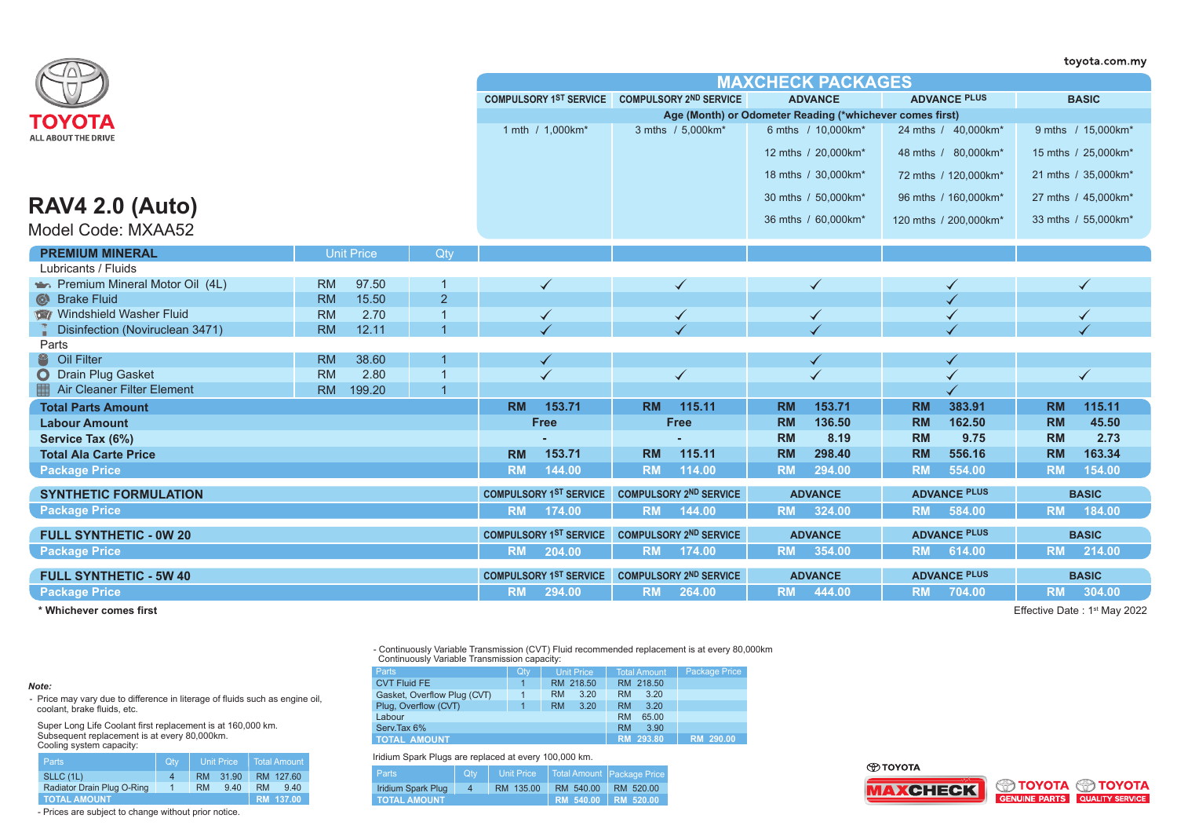|                                   |                     |                |                               |                                               |                                                          |                       | toyota.com.my       |
|-----------------------------------|---------------------|----------------|-------------------------------|-----------------------------------------------|----------------------------------------------------------|-----------------------|---------------------|
|                                   |                     |                |                               |                                               | <b>MAXCHECK PACKAGES</b>                                 |                       |                     |
|                                   |                     |                |                               | COMPULSORY 1ST SERVICE COMPULSORY 2ND SERVICE | <b>ADVANCE</b>                                           | <b>ADVANCE PLUS</b>   | <b>BASIC</b>        |
| ΤΟΥΟΤΑ                            |                     |                |                               |                                               | Age (Month) or Odometer Reading (*whichever comes first) |                       |                     |
| <b>ALL ABOUT THE DRIVE</b>        |                     |                | 1 mth / 1,000km*              | 3 mths / 5,000km*                             | 6 mths / 10,000km*                                       | 24 mths / 40,000km*   | 9 mths / 15,000km*  |
|                                   |                     |                |                               |                                               | 12 mths / 20.000km*                                      | 48 mths / 80,000km*   | 15 mths / 25,000km* |
|                                   |                     |                |                               |                                               | 18 mths / 30,000km*                                      | 72 mths / 120,000km*  | 21 mths / 35,000km* |
|                                   |                     |                |                               |                                               | 30 mths / 50,000km*                                      | 96 mths / 160,000km*  | 27 mths / 45,000km* |
| <b>RAV4 2.0 (Auto)</b>            |                     |                |                               |                                               | 36 mths / 60,000km*                                      | 120 mths / 200,000km* | 33 mths / 55,000km* |
| Model Code: MXAA52                |                     |                |                               |                                               |                                                          |                       |                     |
| <b>PREMIUM MINERAL</b>            | <b>Unit Price</b>   | Qty            |                               |                                               |                                                          |                       |                     |
| Lubricants / Fluids               |                     |                |                               |                                               |                                                          |                       |                     |
| Premium Mineral Motor Oil (4L)    | <b>RM</b><br>97.50  |                |                               |                                               |                                                          |                       |                     |
| <b>Brake Fluid</b><br>$\odot$     | <b>RM</b><br>15.50  | $\overline{2}$ |                               |                                               |                                                          |                       |                     |
| Windshield Washer Fluid           | <b>RM</b><br>2.70   | $\overline{1}$ | ✓                             |                                               | $\checkmark$                                             |                       |                     |
| Disinfection (Noviruclean 3471)   | <b>RM</b><br>12.11  |                |                               |                                               |                                                          |                       |                     |
| Parts                             |                     |                |                               |                                               |                                                          |                       |                     |
| 2<br>Oil Filter                   | 38.60<br><b>RM</b>  |                |                               |                                               |                                                          |                       |                     |
| <b>O</b> Drain Plug Gasket        | <b>RM</b><br>2.80   |                | $\checkmark$                  | $\checkmark$                                  | $\checkmark$                                             |                       | $\checkmark$        |
| <b>Air Cleaner Filter Element</b> | <b>RM</b><br>199.20 | $\overline{1}$ |                               |                                               |                                                          |                       |                     |
| <b>Total Parts Amount</b>         |                     |                | <b>RM</b><br>153.71           | <b>RM</b><br>115.11                           | 153.71<br><b>RM</b>                                      | <b>RM</b><br>383.91   | 115.11<br><b>RM</b> |
| <b>Labour Amount</b>              |                     |                | <b>Free</b>                   | <b>Free</b>                                   | 136.50<br><b>RM</b>                                      | 162.50<br><b>RM</b>   | <b>RM</b><br>45.50  |
| Service Tax (6%)                  |                     |                |                               |                                               | <b>RM</b><br>8.19                                        | <b>RM</b><br>9.75     | <b>RM</b><br>2.73   |
| <b>Total Ala Carte Price</b>      |                     |                | <b>RM</b><br>153.71           | <b>RM</b><br>115.11                           | <b>RM</b><br>298.40                                      | <b>RM</b><br>556.16   | <b>RM</b><br>163.34 |
| <b>Package Price</b>              |                     |                | <b>RM</b><br>144.00           | 114.00<br><b>RM</b>                           | 294.00<br><b>RM</b>                                      | 554.00<br><b>RM</b>   | <b>RM</b><br>154.00 |
| <b>SYNTHETIC FORMULATION</b>      |                     |                | <b>COMPULSORY 1ST SERVICE</b> | <b>COMPULSORY 2ND SERVICE</b>                 | <b>ADVANCE</b>                                           | <b>ADVANCE PLUS</b>   | <b>BASIC</b>        |
| <b>Package Price</b>              |                     |                | <b>RM</b><br>174.00           | <b>RM</b><br>144.00                           | <b>RM</b><br>324.00                                      | <b>RM</b><br>584.00   | <b>RM</b><br>184.00 |
| <b>FULL SYNTHETIC - 0W 20</b>     |                     |                | <b>COMPULSORY 1ST SERVICE</b> | <b>COMPULSORY 2ND SERVICE</b>                 | <b>ADVANCE</b>                                           | <b>ADVANCE PLUS</b>   | <b>BASIC</b>        |
| <b>Package Price</b>              |                     |                | 204.00<br><b>RM</b>           | 174.00<br><b>RM</b>                           | 354.00<br><b>RM</b>                                      | <b>RM</b><br>614.00   | 214.00<br><b>RM</b> |
| <b>FULL SYNTHETIC - 5W 40</b>     |                     |                | <b>COMPULSORY 1ST SERVICE</b> | <b>COMPULSORY 2ND SERVICE</b>                 | <b>ADVANCE</b>                                           | <b>ADVANCE PLUS</b>   | <b>BASIC</b>        |
| <b>Package Price</b>              |                     |                | 294.00<br><b>RM</b>           | <b>RM</b><br>264.00                           | 444.00<br><b>RM</b>                                      | <b>RM</b><br>704.00   | <b>RM</b><br>304.00 |

**\* Whichever comes first**

Effective Date: 1<sup>st</sup> May 2022

- Continuously Variable Transmission (CVT) Fluid recommended replacement is at every 80,000km Continuously Variable Transmission capacity:

| <b>Parts</b>                | Qty               | Unit Price        | <b>Total Amount</b> | Package Price |
|-----------------------------|-------------------|-------------------|---------------------|---------------|
| <b>CVT Fluid FE</b>         |                   | RM 218.50         | RM 218.50           |               |
| Gasket, Overflow Plug (CVT) |                   | <b>RM</b><br>3.20 | 3.20<br><b>RM</b>   |               |
| Plug, Overflow (CVT)        |                   | 3.20<br><b>RM</b> | 3.20<br><b>RM</b>   |               |
| Labour                      |                   |                   | 65.00<br><b>RM</b>  |               |
| Serv.Tax 6%                 | 3.90<br><b>RM</b> |                   |                     |               |
| <b>TOTAL AMOUNT</b>         | RM 293.80         | RM 290.00         |                     |               |

Iridium Spark Plugs are replaced at every 100,000 km.

| 1.1                 |     |                   |                            |                            |  |  |  |  |  |
|---------------------|-----|-------------------|----------------------------|----------------------------|--|--|--|--|--|
| Parts               | Qty | <b>Unit Price</b> |                            | Total Amount Package Price |  |  |  |  |  |
| Iridium Spark Plug  | -4  | RM 135.00         | RM 540.00                  | RM 520.00                  |  |  |  |  |  |
| <b>TOTAL AMOUNT</b> |     |                   | <b>RM 540.00 RM 520.00</b> |                            |  |  |  |  |  |

*Note:*

- Price may vary due to difference in literage of fluids such as engine oil, coolant, brake fluids, etc.

Super Long Life Coolant first replacement is at 160,000 km. Subsequent replacement is at every 80,000km. Cooling system capacity:

| Parts.                     | <b>Qty</b> |           | <b>Unit Price</b> |           | Total Amount |
|----------------------------|------------|-----------|-------------------|-----------|--------------|
| SLLC (1L)                  |            | <b>RM</b> | 31.90             |           | RM 127.60    |
| Radiator Drain Plug O-Ring |            | <b>RM</b> | 9.40              | <b>RM</b> | 940          |
| <b>TOTAL AMOUNT</b>        |            |           |                   |           | RM 137.00    |

- Prices are subject to change without prior notice.

## **O TOYOTA**